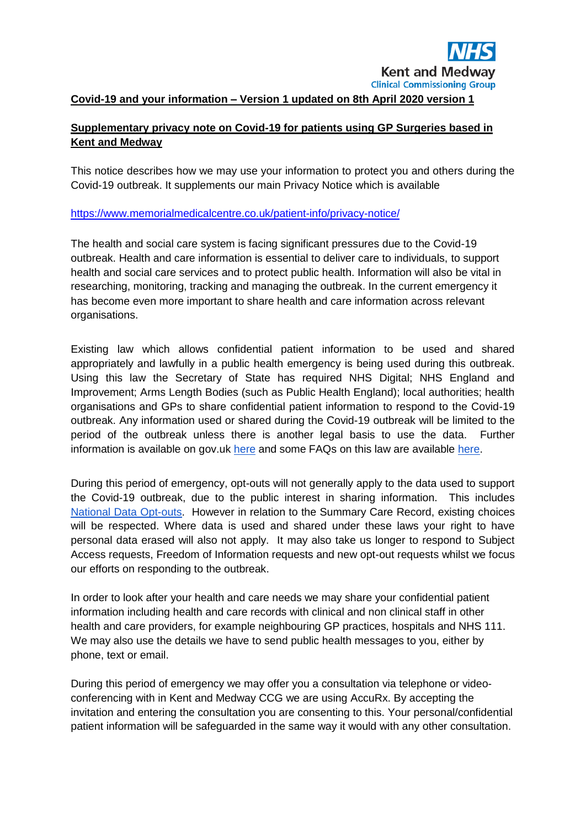#### **Covid-19 and your information – Version 1 updated on 8th April 2020 version 1**

#### **Supplementary privacy note on Covid-19 for patients using GP Surgeries based in Kent and Medway**

This notice describes how we may use your information to protect you and others during the Covid-19 outbreak. It supplements our main Privacy Notice which is available

#### <https://www.memorialmedicalcentre.co.uk/patient-info/privacy-notice/>

The health and social care system is facing significant pressures due to the Covid-19 outbreak. Health and care information is essential to deliver care to individuals, to support health and social care services and to protect public health. Information will also be vital in researching, monitoring, tracking and managing the outbreak. In the current emergency it has become even more important to share health and care information across relevant organisations.

Existing law which allows confidential patient information to be used and shared appropriately and lawfully in a public health emergency is being used during this outbreak. Using this law the Secretary of State has required NHS Digital; NHS England and Improvement; Arms Length Bodies (such as Public Health England); local authorities; health organisations and GPs to share confidential patient information to respond to the Covid-19 outbreak. Any information used or shared during the Covid-19 outbreak will be limited to the period of the outbreak unless there is another legal basis to use the data. Further information is available on gov.uk [here](https://www.gov.uk/government/publications/coronavirus-covid-19-notification-of-data-controllers-to-share-information?utm_source=d05aa30e-95d2-48e3-93e0-0a696c35bd3c&utm_medium=email&utm_campaign=govuk-notifications&utm_content=immediate) and some FAQs on this law are available [here.](https://www.nhsx.nhs.uk/key-information-and-tools/information-governance-guidance/COPI-notice-FAQs)

During this period of emergency, opt-outs will not generally apply to the data used to support the Covid-19 outbreak, due to the public interest in sharing information. This include[s](https://www.nhs.uk/your-nhs-data-matters/) [National Data Opt-outs.](https://www.nhs.uk/your-nhs-data-matters/) However in relation to the Summary Care Record, existing choices will be respected. Where data is used and shared under these laws your right to have personal data erased will also not apply. It may also take us longer to respond to Subject Access requests, Freedom of Information requests and new opt-out requests whilst we focus our efforts on responding to the outbreak.

In order to look after your health and care needs we may share your confidential patient information including health and care records with clinical and non clinical staff in other health and care providers, for example neighbouring GP practices, hospitals and NHS 111. We may also use the details we have to send public health messages to you, either by phone, text or email.

During this period of emergency we may offer you a consultation via telephone or videoconferencing with in Kent and Medway CCG we are using AccuRx. By accepting the invitation and entering the consultation you are consenting to this. Your personal/confidential patient information will be safeguarded in the same way it would with any other consultation.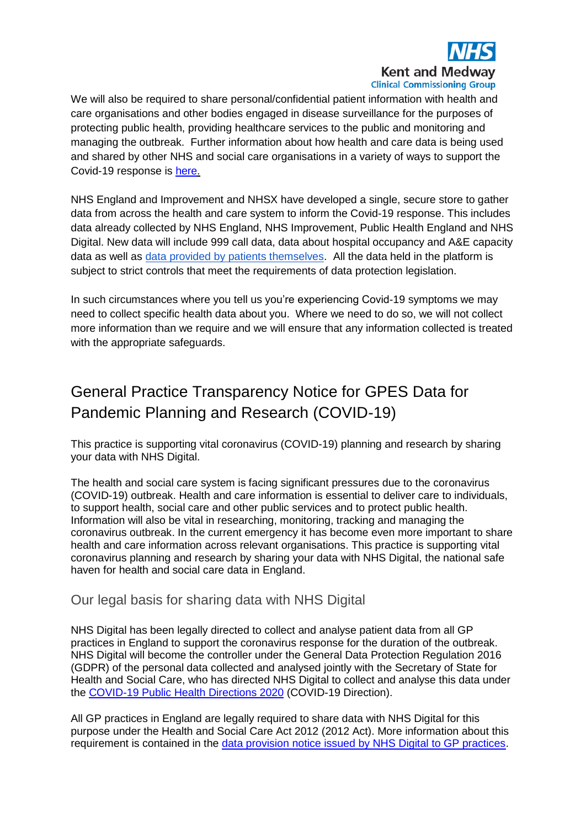

We will also be required to share personal/confidential patient information with health and care organisations and other bodies engaged in disease surveillance for the purposes of protecting public health, providing healthcare services to the public and monitoring and managing the outbreak. Further information about how health and care data is being used and shared by other NHS and social care organisations in a variety of ways to support the Covid-19 response is [here.](https://www.nhsx.nhs.uk/key-information-and-tools/information-governance-guidance/how-data-is-supporting-covid19)

NHS England and Improvement and NHSX have developed a single, secure store to gather data from across the health and care system to inform the Covid-19 response. This includes data already collected by NHS England, NHS Improvement, Public Health England and NHS Digital. New data will include 999 call data, data about hospital occupancy and A&E capacity data as well as [data provided by patients themselves.](https://www.nhs.uk/coronavirus-status-checker) All the data held in the platform is subject to strict controls that meet the requirements of data protection legislation.

In such circumstances where you tell us you're experiencing Covid-19 symptoms we may need to collect specific health data about you. Where we need to do so, we will not collect more information than we require and we will ensure that any information collected is treated with the appropriate safeguards.

# General Practice Transparency Notice for GPES Data for Pandemic Planning and Research (COVID-19)

This practice is supporting vital coronavirus (COVID-19) planning and research by sharing your data with NHS Digital.

The health and social care system is facing significant pressures due to the coronavirus (COVID-19) outbreak. Health and care information is essential to deliver care to individuals, to support health, social care and other public services and to protect public health. Information will also be vital in researching, monitoring, tracking and managing the coronavirus outbreak. In the current emergency it has become even more important to share health and care information across relevant organisations. This practice is supporting vital coronavirus planning and research by sharing your data with NHS Digital, the national safe haven for health and social care data in England.

#### Our legal basis for sharing data with NHS Digital

NHS Digital has been legally directed to collect and analyse patient data from all GP practices in England to support the coronavirus response for the duration of the outbreak. NHS Digital will become the controller under the General Data Protection Regulation 2016 (GDPR) of the personal data collected and analysed jointly with the Secretary of State for Health and Social Care, who has directed NHS Digital to collect and analyse this data under the [COVID-19 Public Health Directions 2020](https://digital.nhs.uk/about-nhs-digital/corporate-information-and-documents/directions-and-data-provision-notices/secretary-of-state-directions/covid-19-public-health-directions-2020) (COVID-19 Direction).

All GP practices in England are legally required to share data with NHS Digital for this purpose under the Health and Social Care Act 2012 (2012 Act). More information about this requirement is contained in the [data provision notice issued by NHS Digital to GP practices.](https://digital.nhs.uk/about-nhs-digital/corporate-information-and-documents/directions-and-data-provision-notices/data-provision-notices-dpns/gpes-data-for-pandemic-planning-and-research)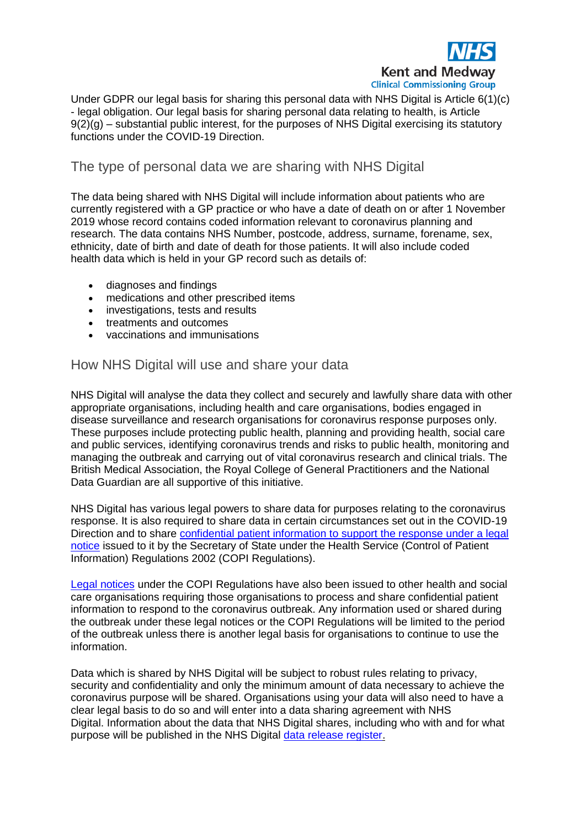

Under GDPR our legal basis for sharing this personal data with NHS Digital is Article 6(1)(c) - legal obligation. Our legal basis for sharing personal data relating to health, is Article  $9(2)(q)$  – substantial public interest, for the purposes of NHS Digital exercising its statutory functions under the COVID-19 Direction.

## The type of personal data we are sharing with NHS Digital

The data being shared with NHS Digital will include information about patients who are currently registered with a GP practice or who have a date of death on or after 1 November 2019 whose record contains coded information relevant to coronavirus planning and research. The data contains NHS Number, postcode, address, surname, forename, sex, ethnicity, date of birth and date of death for those patients. It will also include coded health data which is held in your GP record such as details of:

- diagnoses and findings
- medications and other prescribed items
- investigations, tests and results
- treatments and outcomes
- vaccinations and immunisations

### How NHS Digital will use and share your data

NHS Digital will analyse the data they collect and securely and lawfully share data with other appropriate organisations, including health and care organisations, bodies engaged in disease surveillance and research organisations for coronavirus response purposes only. These purposes include protecting public health, planning and providing health, social care and public services, identifying coronavirus trends and risks to public health, monitoring and managing the outbreak and carrying out of vital coronavirus research and clinical trials. The British Medical Association, the Royal College of General Practitioners and the National Data Guardian are all supportive of this initiative.

NHS Digital has various legal powers to share data for purposes relating to the coronavirus response. It is also required to share data in certain circumstances set out in the COVID-19 Direction and to share [confidential patient information to support the response under a legal](https://digital.nhs.uk/coronavirus/coronavirus-covid-19-response-information-governance-hub/control-of-patient-information-copi-notice)  [notice](https://digital.nhs.uk/coronavirus/coronavirus-covid-19-response-information-governance-hub/control-of-patient-information-copi-notice) issued to it by the Secretary of State under the Health Service (Control of Patient Information) Regulations 2002 (COPI Regulations).

[Legal notices](https://www.gov.uk/government/publications/coronavirus-covid-19-notification-of-data-controllers-to-share-information) under the COPI Regulations have also been issued to other health and social care organisations requiring those organisations to process and share confidential patient information to respond to the coronavirus outbreak. Any information used or shared during the outbreak under these legal notices or the COPI Regulations will be limited to the period of the outbreak unless there is another legal basis for organisations to continue to use the information.

Data which is shared by NHS Digital will be subject to robust rules relating to privacy. security and confidentiality and only the minimum amount of data necessary to achieve the coronavirus purpose will be shared. Organisations using your data will also need to have a clear legal basis to do so and will enter into a data sharing agreement with NHS Digital. Information about the data that NHS Digital shares, including who with and for what purpose will be published in the NHS Digital [data release register.](https://digital.nhs.uk/services/data-access-request-service-dars/register-of-approved-data-releases)